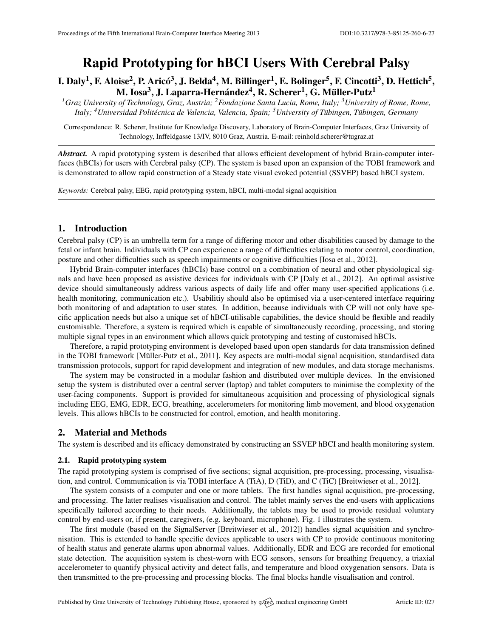# Rapid Prototyping for hBCI Users With Cerebral Palsy

I. Daly<sup>1</sup>, F. Aloise<sup>2</sup>, P. Aricó<sup>3</sup>, J. Belda<sup>4</sup>, M. Billinger<sup>1</sup>, E. Bolinger<sup>5</sup>, F. Cincotti<sup>3</sup>, D. Hettich<sup>5</sup>, M. Iosa<sup>3</sup>, J. Laparra-Hernández<sup>4</sup>, R. Scherer<sup>1</sup>, G. Müller-Putz<sup>1</sup>

*<sup>1</sup>Graz University of Technology, Graz, Austria; <sup>2</sup>Fondazione Santa Lucia, Rome, Italy; <sup>3</sup>University of Rome, Rome, Italy; <sup>4</sup>Universidad Politecnica de Valencia, Valencia, Spain; ´ <sup>5</sup>University of Tubingen, T ¨ ubingen, Germany ¨*

Correspondence: R. Scherer, Institute for Knowledge Discovery, Laboratory of Brain-Computer Interfaces, Graz University of Technology, Inffeldgasse 13/IV, 8010 Graz, Austria. E-mail: [reinhold.scherer@tugraz.at](mailto:reinhold.scherer@tugraz.at)

*Abstract.* A rapid prototyping system is described that allows efficient development of hybrid Brain-computer interfaces (hBCIs) for users with Cerebral palsy (CP). The system is based upon an expansion of the TOBI framework and is demonstrated to allow rapid construction of a Steady state visual evoked potential (SSVEP) based hBCI system.

*Keywords:* Cerebral palsy, EEG, rapid prototyping system, hBCI, multi-modal signal acquisition

# 1. Introduction

Cerebral palsy (CP) is an umbrella term for a range of differing motor and other disabilities caused by damage to the fetal or infant brain. Individuals with CP can experience a range of difficulties relating to motor control, coordination, posture and other difficulties such as speech impairments or cognitive difficulties [\[Iosa et al.,](#page-1-0) [2012\]](#page-1-0).

Hybrid Brain-computer interfaces (hBCIs) base control on a combination of neural and other physiological signals and have been proposed as assistive devices for individuals with CP [\[Daly et al.,](#page-1-1) [2012\]](#page-1-1). An optimal assistive device should simultaneously address various aspects of daily life and offer many user-specified applications (i.e. health monitoring, communication etc.). Usabilitiy should also be optimised via a user-centered interface requiring both monitoring of and adaptation to user states. In addition, because individuals with CP will not only have specific application needs but also a unique set of hBCI-utilisable capabilities, the device should be flexible and readily customisable. Therefore, a system is required which is capable of simultaneously recording, processing, and storing multiple signal types in an environment which allows quick prototyping and testing of customised hBCIs.

Therefore, a rapid prototyping environment is developed based upon open standards for data transmission defined in the TOBI framework [Müller-Putz et al., [2011\]](#page-1-2). Key aspects are multi-modal signal acquisition, standardised data transmission protocols, support for rapid development and integration of new modules, and data storage mechanisms.

The system may be constructed in a modular fashion and distributed over multiple devices. In the envisioned setup the system is distributed over a central server (laptop) and tablet computers to minimise the complexity of the user-facing components. Support is provided for simultaneous acquisition and processing of physiological signals including EEG, EMG, EDR, ECG, breathing, accelerometers for monitoring limb movement, and blood oxygenation levels. This allows hBCIs to be constructed for control, emotion, and health monitoring.

## 2. Material and Methods

The system is described and its efficacy demonstrated by constructing an SSVEP hBCI and health monitoring system.

## 2.1. Rapid prototyping system

The rapid prototyping system is comprised of five sections; signal acquisition, pre-processing, processing, visualisation, and control. Communication is via TOBI interface A (TiA), D (TiD), and C (TiC) [\[Breitwieser et al.,](#page-1-3) [2012\]](#page-1-3).

The system consists of a computer and one or more tablets. The first handles signal acquisition, pre-processing, and processing. The latter realises visualisation and control. The tablet mainly serves the end-users with applications specifically tailored according to their needs. Additionally, the tablets may be used to provide residual voluntary control by end-users or, if present, caregivers, (e.g. keyboard, microphone). Fig. [1](#page-1-4) illustrates the system.

The first module (based on the SignalServer [\[Breitwieser et al.,](#page-1-3) [2012\]](#page-1-3)) handles signal acquisition and synchronisation. This is extended to handle specific devices applicable to users with CP to provide continuous monitoring of health status and generate alarms upon abnormal values. Additionally, EDR and ECG are recorded for emotional state detection. The acquisition system is chest-worn with ECG sensors, sensors for breathing frequency, a triaxial accelerometer to quantify physical activity and detect falls, and temperature and blood oxygenation sensors. Data is then transmitted to the pre-processing and processing blocks. The final blocks handle visualisation and control.